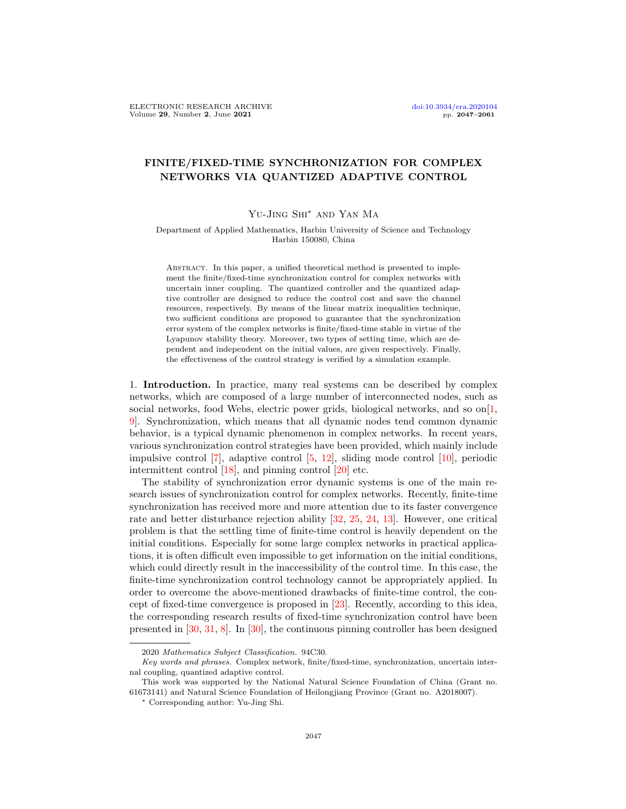## FINITE/FIXED-TIME SYNCHRONIZATION FOR COMPLEX NETWORKS VIA QUANTIZED ADAPTIVE CONTROL

## Yu-Jing Shi∗ and Yan Ma

## Department of Applied Mathematics, Harbin University of Science and Technology Harbin 150080, China

ABSTRACT. In this paper, a unified theoretical method is presented to implement the finite/fixed-time synchronization control for complex networks with uncertain inner coupling. The quantized controller and the quantized adaptive controller are designed to reduce the control cost and save the channel resources, respectively. By means of the linear matrix inequalities technique, two sufficient conditions are proposed to guarantee that the synchronization error system of the complex networks is finite/fixed-time stable in virtue of the Lyapunov stability theory. Moreover, two types of setting time, which are dependent and independent on the initial values, are given respectively. Finally, the effectiveness of the control strategy is verified by a simulation example.

1. Introduction. In practice, many real systems can be described by complex networks, which are composed of a large number of interconnected nodes, such as social networks, food Webs, electric power grids, biological networks, and so on $[1,$ [9\]](#page-13-1). Synchronization, which means that all dynamic nodes tend common dynamic behavior, is a typical dynamic phenomenon in complex networks. In recent years, various synchronization control strategies have been provided, which mainly include impulsive control [\[7\]](#page-13-2), adaptive control [\[5,](#page-13-3) [12\]](#page-14-0), sliding mode control [\[10\]](#page-13-4), periodic intermittent control [\[18\]](#page-14-1), and pinning control [\[20\]](#page-14-2) etc.

The stability of synchronization error dynamic systems is one of the main research issues of synchronization control for complex networks. Recently, finite-time synchronization has received more and more attention due to its faster convergence rate and better disturbance rejection ability [\[32,](#page-14-3) [25,](#page-14-4) [24,](#page-14-5) [13\]](#page-14-6). However, one critical problem is that the settling time of finite-time control is heavily dependent on the initial conditions. Especially for some large complex networks in practical applications, it is often difficult even impossible to get information on the initial conditions, which could directly result in the inaccessibility of the control time. In this case, the finite-time synchronization control technology cannot be appropriately applied. In order to overcome the above-mentioned drawbacks of finite-time control, the concept of fixed-time convergence is proposed in [\[23\]](#page-14-7). Recently, according to this idea, the corresponding research results of fixed-time synchronization control have been presented in [\[30,](#page-14-8) [31,](#page-14-9) [8\]](#page-13-5). In [\[30\]](#page-14-8), the continuous pinning controller has been designed

<sup>2020</sup> Mathematics Subject Classification. 94C30.

Key words and phrases. Complex network, finite/fixed-time, synchronization, uncertain internal coupling, quantized adaptive control.

This work was supported by the National Natural Science Foundation of China (Grant no. 61673141) and Natural Science Foundation of Heilongjiang Province (Grant no. A2018007).

<sup>∗</sup> Corresponding author: Yu-Jing Shi.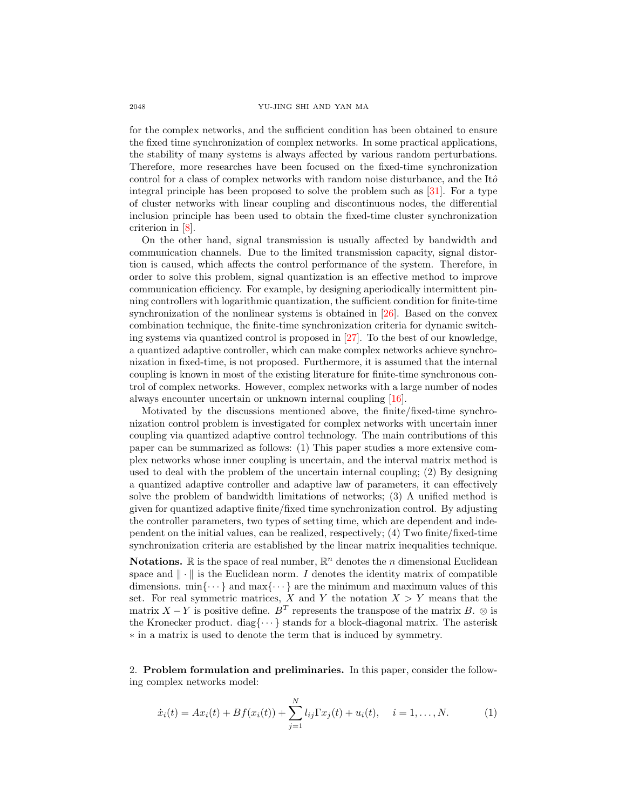for the complex networks, and the sufficient condition has been obtained to ensure the fixed time synchronization of complex networks. In some practical applications, the stability of many systems is always affected by various random perturbations. Therefore, more researches have been focused on the fixed-time synchronization control for a class of complex networks with random noise disturbance, and the It $\hat{o}$ integral principle has been proposed to solve the problem such as [\[31\]](#page-14-9). For a type of cluster networks with linear coupling and discontinuous nodes, the differential inclusion principle has been used to obtain the fixed-time cluster synchronization criterion in [\[8\]](#page-13-5).

On the other hand, signal transmission is usually affected by bandwidth and communication channels. Due to the limited transmission capacity, signal distortion is caused, which affects the control performance of the system. Therefore, in order to solve this problem, signal quantization is an effective method to improve communication efficiency. For example, by designing aperiodically intermittent pinning controllers with logarithmic quantization, the sufficient condition for finite-time synchronization of the nonlinear systems is obtained in [\[26\]](#page-14-10). Based on the convex combination technique, the finite-time synchronization criteria for dynamic switching systems via quantized control is proposed in [\[27\]](#page-14-11). To the best of our knowledge, a quantized adaptive controller, which can make complex networks achieve synchronization in fixed-time, is not proposed. Furthermore, it is assumed that the internal coupling is known in most of the existing literature for finite-time synchronous control of complex networks. However, complex networks with a large number of nodes always encounter uncertain or unknown internal coupling [\[16\]](#page-14-12).

Motivated by the discussions mentioned above, the finite/fixed-time synchronization control problem is investigated for complex networks with uncertain inner coupling via quantized adaptive control technology. The main contributions of this paper can be summarized as follows: (1) This paper studies a more extensive complex networks whose inner coupling is uncertain, and the interval matrix method is used to deal with the problem of the uncertain internal coupling; (2) By designing a quantized adaptive controller and adaptive law of parameters, it can effectively solve the problem of bandwidth limitations of networks; (3) A unified method is given for quantized adaptive finite/fixed time synchronization control. By adjusting the controller parameters, two types of setting time, which are dependent and independent on the initial values, can be realized, respectively; (4) Two finite/fixed-time synchronization criteria are established by the linear matrix inequalities technique.

**Notations.**  $\mathbb{R}$  is the space of real number,  $\mathbb{R}^n$  denotes the *n* dimensional Euclidean space and  $\|\cdot\|$  is the Euclidean norm. I denotes the identity matrix of compatible dimensions.  $\min\{\cdots\}$  and  $\max\{\cdots\}$  are the minimum and maximum values of this set. For real symmetric matrices, X and Y the notation  $X > Y$  means that the matrix  $X - Y$  is positive define. B<sup>T</sup> represents the transpose of the matrix B. ⊗ is the Kronecker product. diag $\{\cdots\}$  stands for a block-diagonal matrix. The asterisk ∗ in a matrix is used to denote the term that is induced by symmetry.

2. Problem formulation and preliminaries. In this paper, consider the following complex networks model:

<span id="page-1-0"></span>
$$
\dot{x}_i(t) = Ax_i(t) + Bf(x_i(t)) + \sum_{j=1}^{N} l_{ij} \Gamma x_j(t) + u_i(t), \quad i = 1, ..., N.
$$
 (1)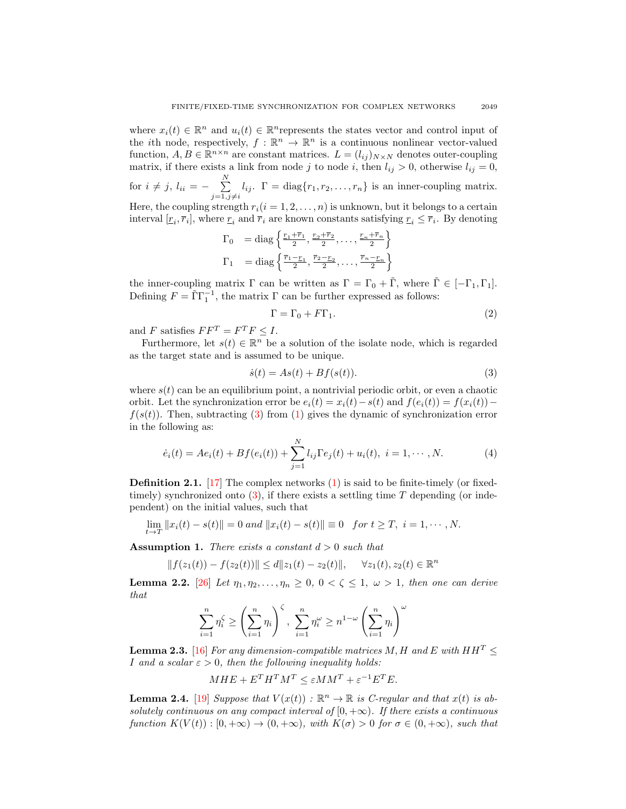where  $x_i(t) \in \mathbb{R}^n$  and  $u_i(t) \in \mathbb{R}^n$  represents the states vector and control input of the *i*th node, respectively,  $f : \mathbb{R}^n \to \mathbb{R}^n$  is a continuous nonlinear vector-valued function,  $A, B \in \mathbb{R}^{n \times n}$  are constant matrices.  $L = (l_{ij})_{N \times N}$  denotes outer-coupling matrix, if there exists a link from node j to node i, then  $l_{ij} > 0$ , otherwise  $l_{ij} = 0$ , for  $i \neq j$ ,  $l_{ii} = -\sum_{i=1}^{N}$  $\sum_{j=1, j\neq i} l_{ij}$ .  $\Gamma = \text{diag}\{r_1, r_2, \dots, r_n\}$  is an inner-coupling matrix. Here, the coupling strength  $r_i(i = 1, 2, ..., n)$  is unknown, but it belongs to a certain interval  $[\underline{r}_i, \overline{r}_i]$ , where  $\underline{r}_i$  and  $\overline{r}_i$  are known constants satisfying  $\underline{r}_i \leq \overline{r}_i$ . By denoting

$$
\Gamma_0 = \text{diag}\left\{\frac{\frac{r_1 + \bar{r}_1}{2}, \frac{r_2 + \bar{r}_2}{2}, \dots, \frac{r_n + \bar{r}_n}{2}\right\}
$$
\n
$$
\Gamma_1 = \text{diag}\left\{\frac{\bar{r}_1 - r_1}{2}, \frac{\bar{r}_2 - r_2}{2}, \dots, \frac{\bar{r}_n - r_n}{2}\right\}
$$

the inner-coupling matrix  $\Gamma$  can be written as  $\Gamma = \Gamma_0 + \tilde{\Gamma}$ , where  $\tilde{\Gamma} \in [-\Gamma_1, \Gamma_1]$ . Defining  $F = \tilde{\Gamma} \Gamma_1^{-1}$ , the matrix  $\Gamma$  can be further expressed as follows:

$$
\Gamma = \Gamma_0 + F\Gamma_1. \tag{2}
$$

and F satisfies  $FF^T = F^T F \leq I$ .

Furthermore, let  $s(t) \in \mathbb{R}^n$  be a solution of the isolate node, which is regarded as the target state and is assumed to be unique.

<span id="page-2-0"></span>
$$
\dot{s}(t) = As(t) + Bf(s(t)).\tag{3}
$$

where  $s(t)$  can be an equilibrium point, a nontrivial periodic orbit, or even a chaotic orbit. Let the synchronization error be  $e_i(t) = x_i(t) - s(t)$  and  $f(e_i(t)) = f(x_i(t))$  $f(s(t))$ . Then, subtracting [\(3\)](#page-2-0) from [\(1\)](#page-1-0) gives the dynamic of synchronization error in the following as:

<span id="page-2-3"></span>
$$
\dot{e}_i(t) = Ae_i(t) + Bf(e_i(t)) + \sum_{j=1}^{N} l_{ij} \Gamma e_j(t) + u_i(t), \quad i = 1, \cdots, N. \tag{4}
$$

**Definition 2.1.** [\[17\]](#page-14-13) The complex networks  $(1)$  is said to be finite-timely (or fixedtimely) synchronized onto  $(3)$ , if there exists a settling time T depending (or independent) on the initial values, such that

$$
\lim_{t \to T} ||x_i(t) - s(t)|| = 0 \text{ and } ||x_i(t) - s(t)|| \equiv 0 \text{ for } t \ge T, \ i = 1, \cdots, N.
$$

<span id="page-2-2"></span>**Assumption 1.** There exists a constant  $d > 0$  such that

$$
|| f(z_1(t)) - f(z_2(t)) || \le d ||z_1(t) - z_2(t)||, \quad \forall z_1(t), z_2(t) \in \mathbb{R}^n
$$

<span id="page-2-5"></span>**Lemma 2.2.** [\[26\]](#page-14-10) Let  $\eta_1, \eta_2, \ldots, \eta_n \geq 0$ ,  $0 < \zeta \leq 1$ ,  $\omega > 1$ , then one can derive that

$$
\sum_{i=1}^n \eta_i^{\zeta} \ge \left(\sum_{i=1}^n \eta_i\right)^{\zeta}, \ \sum_{i=1}^n \eta_i^{\omega} \ge n^{1-\omega} \left(\sum_{i=1}^n \eta_i\right)^{\omega}
$$

<span id="page-2-4"></span>**Lemma 2.3.** [\[16\]](#page-14-12) For any dimension-compatible matrices M, H and E with  $HH^T$  < I and a scalar  $\varepsilon > 0$ , then the following inequality holds:

$$
MHE + E^T H^T M^T \le \varepsilon M M^T + \varepsilon^{-1} E^T E.
$$

<span id="page-2-1"></span>**Lemma 2.4.** [\[19\]](#page-14-14) Suppose that  $V(x(t))$ :  $\mathbb{R}^n \to \mathbb{R}$  is *C*-regular and that  $x(t)$  is absolutely continuous on any compact interval of  $[0, +\infty)$ . If there exists a continuous function  $K(V(t)) : [0, +\infty) \to (0, +\infty)$ , with  $K(\sigma) > 0$  for  $\sigma \in (0, +\infty)$ , such that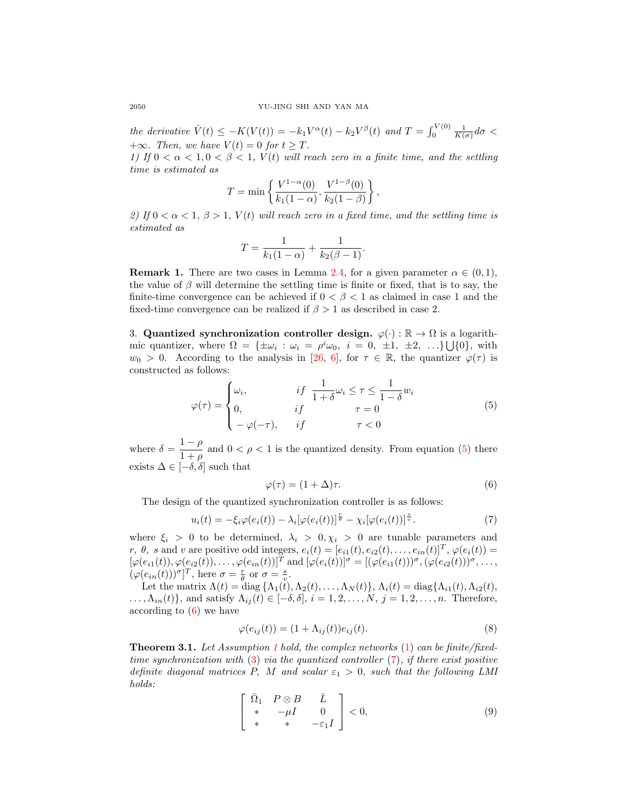the derivative  $\dot{V}(t) \leq -K(V(t)) = -k_1 V^{\alpha}(t) - k_2 V^{\beta}(t)$  and  $T = \int_0^{V(0)} \frac{1}{K(\sigma)} d\sigma$ +∞. Then, we have  $V(t) = 0$  for  $t \geq T$ .

1) If  $0 < \alpha < 1, 0 < \beta < 1$ ,  $V(t)$  will reach zero in a finite time, and the settling time is estimated as

$$
T = \min \left\{ \frac{V^{1-\alpha}(0)}{k_1(1-\alpha)}, \frac{V^{1-\beta}(0)}{k_2(1-\beta)} \right\},\,
$$

2) If  $0 < \alpha < 1$ ,  $\beta > 1$ ,  $V(t)$  will reach zero in a fixed time, and the settling time is estimated as

$$
T = \frac{1}{k_1(1-\alpha)} + \frac{1}{k_2(\beta - 1)}.
$$

**Remark 1.** There are two cases in Lemma [2.4,](#page-2-1) for a given parameter  $\alpha \in (0,1)$ , the value of  $\beta$  will determine the settling time is finite or fixed, that is to say, the finite-time convergence can be achieved if  $0 < \beta < 1$  as claimed in case 1 and the fixed-time convergence can be realized if  $\beta > 1$  as described in case 2.

3. Quantized synchronization controller design.  $\varphi(\cdot): \mathbb{R} \to \Omega$  is a logarithmic quantizer, where  $\Omega = {\pm \omega_i : \omega_i = \rho^i \omega_0, i = 0, \pm 1, \pm 2, \ldots} \cup \{0\},\$  $w_0 > 0$ . According to the analysis in [\[26,](#page-14-10) [6\]](#page-13-6), for  $\tau \in \mathbb{R}$ , the quantizer  $\varphi(\tau)$  is constructed as follows:

<span id="page-3-0"></span>
$$
\varphi(\tau) = \begin{cases} \omega_i, & \text{if } \frac{1}{1+\delta} \omega_i \le \tau \le \frac{1}{1-\delta} w_i \\ 0, & \text{if } \tau = 0 \\ -\varphi(-\tau), & \text{if } \tau < 0 \end{cases} \tag{5}
$$

where  $\delta = \frac{1-\rho}{1+\rho}$  $\frac{1-\mu}{1+\rho}$  and  $0 < \rho < 1$  is the quantized density. From equation [\(5\)](#page-3-0) there exists  $\Delta \in [-\delta, \delta]$  such that

<span id="page-3-1"></span>
$$
\varphi(\tau) = (1 + \Delta)\tau. \tag{6}
$$

The design of the quantized synchronization controller is as follows:

<span id="page-3-2"></span>
$$
u_i(t) = -\xi_i \varphi(e_i(t)) - \lambda_i [\varphi(e_i(t))]^{\frac{r}{\theta}} - \chi_i [\varphi(e_i(t))]^{\frac{s}{\theta}}.
$$
\n<sup>(7)</sup>

where  $\xi_i > 0$  to be determined,  $\lambda_i > 0, \chi_i > 0$  are tunable parameters and r,  $\theta$ , s and v are positive odd integers,  $e_i(t) = [e_{i1}(t), e_{i2}(t), \dots, e_{in}(t)]^T$ ,  $\varphi(e_i(t)) =$  $[\varphi(e_{i1}(t)), \varphi(e_{i2}(t)), \ldots, \varphi(e_{in}(t))]^T$  and  $[\varphi(e_i(t))]^{\sigma} = [(\varphi(e_{i1}(t)))^{\sigma}, (\varphi(e_{i2}(t)))^{\sigma}, \ldots,$  $(\varphi(e_{in}(t)))^{\sigma}]^{T}$ , here  $\sigma = \frac{r}{\theta}$  or  $\sigma = \frac{s}{v}$ .

Let the matrix  $\Lambda(t) = \text{diag} \{ \Lambda_1(t), \Lambda_2(t), \ldots, \Lambda_N(t) \}, \Lambda_i(t) = \text{diag} \{ \Lambda_{i1}(t), \Lambda_{i2}(t),$  $\ldots, \Lambda_{in}(t)$ , and satisfy  $\Lambda_{ij}(t) \in [-\delta, \delta], i = 1, 2, \ldots, N, j = 1, 2, \ldots, n$ . Therefore, according to  $(6)$  we have

<span id="page-3-3"></span>
$$
\varphi(e_{ij}(t)) = (1 + \Lambda_{ij}(t))e_{ij}(t). \tag{8}
$$

<span id="page-3-5"></span>**Theorem 3.[1](#page-2-2).** Let Assumption 1 hold, the complex networks  $(1)$  can be finite/fixedtime synchronization with  $(3)$  via the quantized controller  $(7)$ , if there exist positive definite diagonal matrices P, M and scalar  $\varepsilon_1 > 0$ , such that the following LMI holds:

<span id="page-3-4"></span>
$$
\begin{bmatrix}\n\bar{\Omega}_1 & P \otimes B & \bar{L} \\
* & -\mu I & 0 \\
* & * & -\varepsilon_1 I\n\end{bmatrix} < 0,\n\tag{9}
$$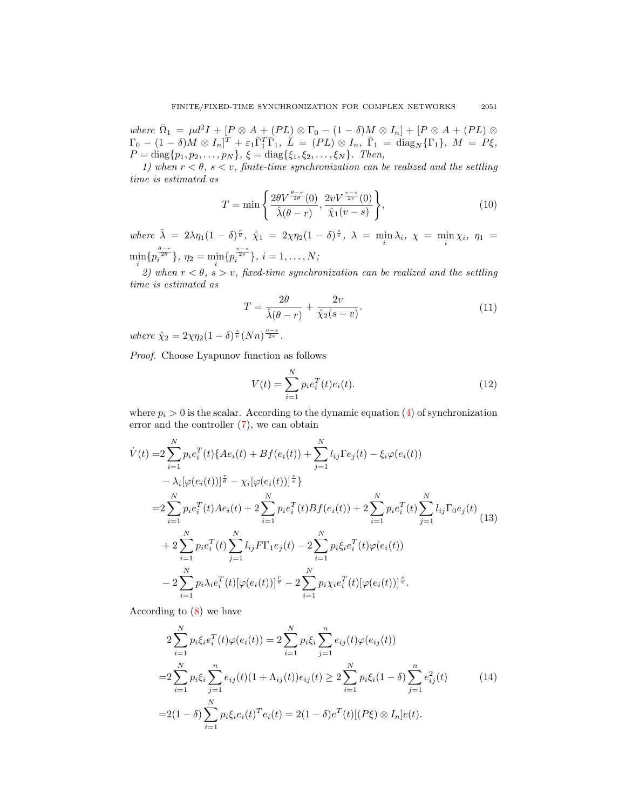where  $\overline{\Omega}_1 = \mu d^2 I + [P \otimes A + (PL) \otimes \Gamma_0 - (1 - \delta)M \otimes I_n] + [P \otimes A + (PL) \otimes$  $\Gamma_0 - (1-\delta)M \otimes I_n]^T + \varepsilon_1 \bar{\Gamma}_1^T \bar{\Gamma}_1, \ \dot{\bar{L}} \ = \ (PL) \otimes I_n, \ \bar{\Gamma}_1 \ = \ \text{diag}_N \{ \Gamma_1 \}, \ M \ = \ P \xi,$  $P = \text{diag}\{p_1, p_2, \ldots, p_N\}, \xi = \text{diag}\{\xi_1, \xi_2, \ldots, \xi_N\}.$  Then,

1) when  $r < \theta$ ,  $s < v$ , finite-time synchronization can be realized and the settling time is estimated as

<span id="page-4-2"></span>
$$
T = \min\left\{\frac{2\theta V^{\frac{\theta-r}{2\theta}}(0)}{\hat{\lambda}(\theta - r)}, \frac{2v V^{\frac{v-s}{2v}}(0)}{\hat{\chi}_1(v - s)}\right\},\tag{10}
$$

where  $\hat{\lambda} = 2\lambda \eta_1 (1 - \delta)^{\frac{r}{\theta}}, \hat{\chi}_1 = 2\chi \eta_2 (1 - \delta)^{\frac{s}{\theta}}, \lambda = \min_i \lambda_i, \chi = \min_i \chi_i, \eta_1 =$  $\min_i \{ p_i^{\frac{\theta-r}{2\theta}} \}, \ \eta_2 = \min_i \{ p_i^{\frac{v-s}{2v}} \}, \ i=1,\ldots,N;$ 

2) when  $r < \theta$ ,  $s > v$ , fixed-time synchronization can be realized and the settling time is estimated as

<span id="page-4-3"></span>
$$
T = \frac{2\theta}{\hat{\lambda}(\theta - r)} + \frac{2v}{\hat{\chi}_2(s - v)}.\tag{11}
$$

where  $\hat{\chi}_2 = 2\chi\eta_2(1-\delta)^{\frac{s}{v}}(Nn)^{\frac{v-s}{2v}}$ .

Proof. Choose Lyapunov function as follows

$$
V(t) = \sum_{i=1}^{N} p_i e_i^T(t) e_i(t).
$$
 (12)

where  $p_i > 0$  is the scalar. According to the dynamic equation [\(4\)](#page-2-3) of synchronization error and the controller [\(7\)](#page-3-2), we can obtain

<span id="page-4-0"></span>
$$
\dot{V}(t) = 2 \sum_{i=1}^{N} p_i e_i^T(t) \{ A e_i(t) + B f(e_i(t)) + \sum_{j=1}^{N} l_{ij} \Gamma e_j(t) - \xi_i \varphi(e_i(t)) - \lambda_i [\varphi(e_i(t))]^{\frac{r}{\theta}} \}
$$
\n
$$
= 2 \sum_{i=1}^{N} p_i e_i^T(t) A e_i(t) + 2 \sum_{i=1}^{N} p_i e_i^T(t) B f(e_i(t)) + 2 \sum_{i=1}^{N} p_i e_i^T(t) \sum_{j=1}^{N} l_{ij} \Gamma_0 e_j(t) + 2 \sum_{i=1}^{N} p_i e_i^T(t) \sum_{j=1}^{N} l_{ij} \Gamma_0 e_j(t) \}
$$
\n
$$
+ 2 \sum_{i=1}^{N} p_i e_i^T(t) \sum_{j=1}^{N} l_{ij} F \Gamma_1 e_j(t) - 2 \sum_{i=1}^{N} p_i \xi_i e_i^T(t) \varphi(e_i(t)) - 2 \sum_{i=1}^{N} p_i \lambda_i e_i^T(t) [\varphi(e_i(t))]^{\frac{s}{v}}.
$$
\n(13)

According to [\(8\)](#page-3-3) we have

<span id="page-4-1"></span>
$$
2\sum_{i=1}^{N} p_i \xi_i e_i^T(t) \varphi(e_i(t)) = 2\sum_{i=1}^{N} p_i \xi_i \sum_{j=1}^{n} e_{ij}(t) \varphi(e_{ij}(t))
$$
  

$$
= 2\sum_{i=1}^{N} p_i \xi_i \sum_{j=1}^{n} e_{ij}(t) (1 + \Lambda_{ij}(t)) e_{ij}(t) \ge 2\sum_{i=1}^{N} p_i \xi_i (1 - \delta) \sum_{j=1}^{n} e_{ij}^2(t)
$$
  

$$
= 2(1 - \delta) \sum_{i=1}^{N} p_i \xi_i e_i(t)^T e_i(t) = 2(1 - \delta) e^T(t) [(P\xi) \otimes I_n] e(t).
$$
 (14)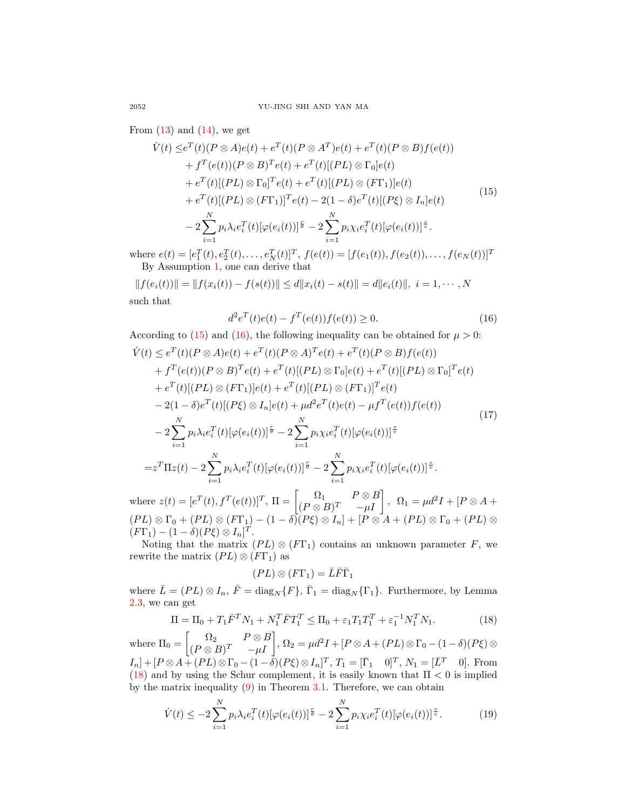From  $(13)$  and  $(14)$ , we get

<span id="page-5-0"></span>
$$
\dot{V}(t) \leq e^{T}(t)(P \otimes A)e(t) + e^{T}(t)(P \otimes A^{T})e(t) + e^{T}(t)(P \otimes B)f(e(t)) \n+ f^{T}(e(t))(P \otimes B)^{T}e(t) + e^{T}(t)[(PL) \otimes \Gamma_{0}]e(t) \n+ e^{T}(t)[(PL) \otimes \Gamma_{0}]^{T}e(t) + e^{T}(t)[(PL) \otimes (F\Gamma_{1})]e(t) \n+ e^{T}(t)[(PL) \otimes (F\Gamma_{1})]^{T}e(t) - 2(1 - \delta)e^{T}(t)[(P\xi) \otimes I_{n}]e(t) \n- 2\sum_{i=1}^{N} p_{i}\lambda_{i}e_{i}^{T}(t)[\varphi(e_{i}(t))]^{\frac{r}{\theta}} - 2\sum_{i=1}^{N} p_{i}\chi_{i}e_{i}^{T}(t)[\varphi(e_{i}(t))]^{\frac{s}{\theta}}.
$$
\n(15)

where  $e(t) = [e_1^T(t), e_2^T(t), \dots, e_N^T(t)]^T$ ,  $f(e(t)) = [f(e_1(t)), f(e_2(t)), \dots, f(e_N(t))]^T$ By Assumption [1,](#page-2-2) one can derive that

 $|| f(e_i(t)) || = || f(x_i(t)) - f(s(t)) || < d||x_i(t) - s(t)|| = d||e_i(t)||, i = 1, \cdots, N$ such that

<span id="page-5-1"></span>
$$
d^{2}e^{T}(t)e(t) - f^{T}(e(t))f(e(t)) \ge 0.
$$
\n(16)

According to [\(15\)](#page-5-0) and [\(16\)](#page-5-1), the following inequality can be obtained for  $\mu > 0$ :  $\dot{V}(t) \leq e^T(t)(P \otimes A)e(t) + e^T(t)(P \otimes A)^Te(t) + e^T(t)(P \otimes B)f(e(t))$  $+ f^T(e(t)) (P \otimes B)^T e(t) + e^T(t) [(PL) \otimes \Gamma_0] e(t) + e^T(t) [(PL) \otimes \Gamma_0]^T e(t)$  $+e^{T}(t)[(PL)\otimes (F\Gamma_1)]e(t)+e^{T}(t)[(PL)\otimes (F\Gamma_1)]^{T}e(t)$  $-2(1-\delta)e^{T}(t)[(P\xi)\otimes I_{n}]e(t)+\mu d^{2}e^{T}(t)e(t)-\mu f^{T}(e(t))f(e(t))$  $-2\sum_{i=1}^{N}$  $i=1$  $p_i \lambda_i e_i^T(t) [\varphi(e_i(t))]^{\frac{r}{\theta}} - 2 \sum^N$  $i=1$  $p_i\chi_ie_i^T(t)[\varphi(e_i(t))]^{\frac{s}{v}}$  $=z^T \Pi z(t) - 2 \sum_{n=1}^{N}$  $i=1$  $p_i\lambda_i e_i^T(t) [\varphi(e_i(t))]^{\frac{r}{\theta}} - 2 \sum^N$  $i=1$  $p_i \chi_i e_i^T(t) [\varphi(e_i(t))]^{\frac{s}{v}}.$ (17)

where  $z(t) = [e^T(t), f^T(e(t))]^T$ ,  $\Pi = \begin{bmatrix} \Omega_1 & P \otimes B \\ (P \otimes P)T & \cdots I \end{bmatrix}$  $\begin{bmatrix} \Omega_1 & P \otimes B \\ (P \otimes B)^T & -\mu I \end{bmatrix}$ ,  $\Omega_1 = \mu d^2 I + [P \otimes A +$  $(PL) \otimes \Gamma_0 + (PL) \otimes (F\Gamma_1) - (1-\delta)(P\xi) \otimes I_n] + [P \otimes A + (PL) \otimes \Gamma_0 + (PL) \otimes$  $(F\Gamma_1)-(1-\delta)(P\xi)\otimes I_n]^T.$ 

Noting that the matrix  $(PL) \otimes (F\Gamma_1)$  contains an unknown parameter F, we rewrite the matrix  $(PL) \otimes (F\Gamma_1)$  as

$$
(PL)\otimes (F\Gamma_1)=\bar{L}\bar{F}\bar{\Gamma}_1
$$

where  $\bar{L} = (PL) \otimes I_n$ ,  $\bar{F} = \text{diag}_N \{F\}$ ,  $\bar{\Gamma}_1 = \text{diag}_N \{\Gamma_1\}$ . Furthermore, by Lemma [2.3,](#page-2-4) we can get

<span id="page-5-2"></span>
$$
\Pi = \Pi_0 + T_1 \bar{F}^T N_1 + N_1^T \bar{F} T_1^T \le \Pi_0 + \varepsilon_1 T_1 T_1^T + \varepsilon_1^{-1} N_1^T N_1.
$$
\n(18)

where  $\Pi_0 = \begin{bmatrix} \Omega_2 & P \otimes B \\ (P \otimes B)^T & \mu I \end{bmatrix}$  $\left.\begin{array}{cc} \Omega_2 & P\otimes B\ (P\otimes B)^T & -\mu I \end{array}\right],\, \Omega_2=\mu d^2I + [P\otimes A + (PL)\otimes \Gamma_0 - (1-\delta)(P\xi)\otimes \Gamma_1]$  $I_n] + [P \otimes A + (PL) \otimes \Gamma_0 - (1 - \tilde{\delta})(P\xi) \otimes I_n]^T$ ,  $T_1 = [\overline{\Gamma}_1 \quad 0]^T$ ,  $N_1 = [\overline{L}^T \quad 0]$ . From [\(18\)](#page-5-2) and by using the Schur complement, it is easily known that  $\Pi < 0$  is implied by the matrix inequality  $(9)$  in Theorem [3.1.](#page-3-5) Therefore, we can obtain

<span id="page-5-3"></span>
$$
\dot{V}(t) \leq -2\sum_{i=1}^{N} p_i \lambda_i e_i^T(t) [\varphi(e_i(t))]^{\frac{r}{\theta}} - 2\sum_{i=1}^{N} p_i \chi_i e_i^T(t) [\varphi(e_i(t))]^{\frac{s}{v}}.
$$
 (19)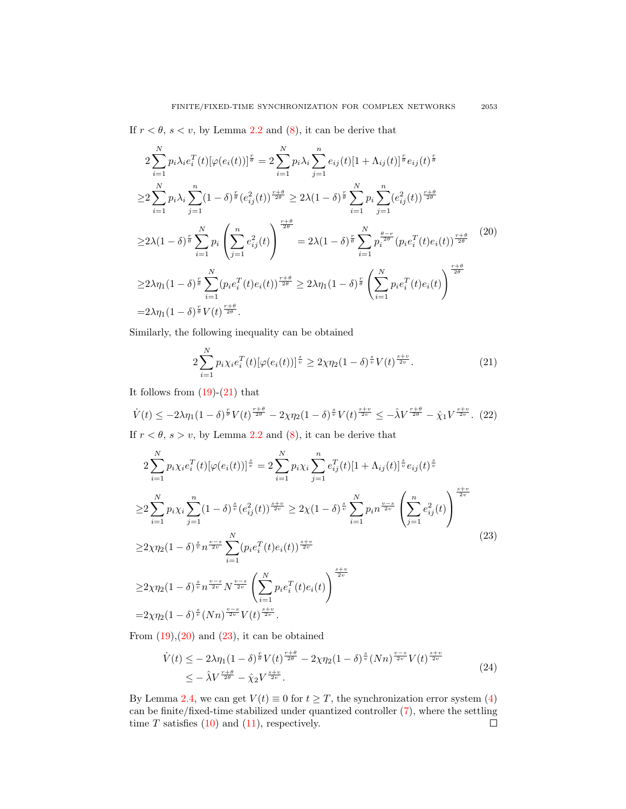If  $r < \theta$ ,  $s < v$ , by Lemma [2.2](#page-2-5) and [\(8\)](#page-3-3), it can be derive that

<span id="page-6-1"></span>
$$
2\sum_{i=1}^{N} p_{i}\lambda_{i}e_{i}^{T}(t)[\varphi(e_{i}(t))]^{\frac{r}{\theta}} = 2\sum_{i=1}^{N} p_{i}\lambda_{i}\sum_{j=1}^{n} e_{ij}(t)[1 + \Lambda_{ij}(t)]^{\frac{r}{\theta}}e_{ij}(t)^{\frac{r}{\theta}}
$$
  
\n
$$
\geq 2\sum_{i=1}^{N} p_{i}\lambda_{i}\sum_{j=1}^{n} (1 - \delta)^{\frac{r}{\theta}}(e_{ij}^{2}(t))^{\frac{r+\theta}{2\theta}} \geq 2\lambda(1 - \delta)^{\frac{r}{\theta}}\sum_{i=1}^{N} p_{i}\sum_{j=1}^{n} (e_{ij}^{2}(t))^{\frac{r+\theta}{2\theta}}
$$
  
\n
$$
\geq 2\lambda(1 - \delta)^{\frac{r}{\theta}}\sum_{i=1}^{N} p_{i}\left(\sum_{j=1}^{n} e_{ij}^{2}(t)\right)^{\frac{r+\theta}{2\theta}} = 2\lambda(1 - \delta)^{\frac{r}{\theta}}\sum_{i=1}^{N} p_{i}^{\frac{\theta-r}{2\theta}}(p_{i}e_{i}^{T}(t)e_{i}(t))^{\frac{r+\theta}{2\theta}}
$$
  
\n
$$
\geq 2\lambda\eta_{1}(1 - \delta)^{\frac{r}{\theta}}\sum_{i=1}^{N} (p_{i}e_{i}^{T}(t)e_{i}(t))^{\frac{r+\theta}{2\theta}} \geq 2\lambda\eta_{1}(1 - \delta)^{\frac{r}{\theta}}\left(\sum_{i=1}^{N} p_{i}e_{i}^{T}(t)e_{i}(t)\right)^{\frac{r+\theta}{2\theta}}
$$
  
\n
$$
= 2\lambda\eta_{1}(1 - \delta)^{\frac{r}{\theta}}V(t)^{\frac{r+\theta}{2\theta}}.
$$
 (20)

Similarly, the following inequality can be obtained

<span id="page-6-0"></span>
$$
2\sum_{i=1}^{N} p_i \chi_i e_i^T(t) [\varphi(e_i(t))]^{\frac{s}{v}} \ge 2\chi \eta_2 (1-\delta)^{\frac{s}{v}} V(t)^{\frac{s+v}{2v}}.
$$
 (21)

It follows from  $(19)-(21)$  $(19)-(21)$  that

$$
\dot{V}(t) \le -2\lambda \eta_1 (1-\delta)^{\frac{r}{\theta}} V(t)^{\frac{r+\theta}{2\theta}} - 2\chi \eta_2 (1-\delta)^{\frac{s}{v}} V(t)^{\frac{s+v}{2v}} \le -\lambda V^{\frac{r+\theta}{2\theta}} - \hat{\chi}_1 V^{\frac{s+v}{2v}}. (22)
$$

If  $r < \theta$ ,  $s > v$ , by Lemma [2.2](#page-2-5) and [\(8\)](#page-3-3), it can be derive that

<span id="page-6-2"></span>
$$
2\sum_{i=1}^{N} p_i \chi_i e_i^T(t) [\varphi(e_i(t))]^{\frac{s}{v}} = 2\sum_{i=1}^{N} p_i \chi_i \sum_{j=1}^{n} e_{ij}^T(t) [1 + \Lambda_{ij}(t)]^{\frac{s}{v}} e_{ij}(t)^{\frac{s}{v}}
$$
  
\n
$$
\geq 2\sum_{i=1}^{N} p_i \chi_i \sum_{j=1}^{n} (1 - \delta)^{\frac{s}{v}} (e_{ij}^2(t))^{\frac{s+v}{2v}} \geq 2\chi (1 - \delta)^{\frac{s}{v}} \sum_{i=1}^{N} p_i n^{\frac{v-s}{2v}} \left(\sum_{j=1}^{n} e_{ij}^2(t)\right)^{\frac{s+v}{2v}}
$$
  
\n
$$
\geq 2\chi \eta_2 (1 - \delta)^{\frac{s}{v}} n^{\frac{v-s}{2v}} \sum_{i=1}^{N} (p_i e_i^T(t) e_i(t))^{\frac{s+v}{2v}}
$$
  
\n
$$
\geq 2\chi \eta_2 (1 - \delta)^{\frac{s}{v}} n^{\frac{v-s}{2v}} N^{\frac{v-s}{2v}} \left(\sum_{i=1}^{N} p_i e_i^T(t) e_i(t)\right)^{\frac{s+v}{2v}}
$$
  
\n
$$
= 2\chi \eta_2 (1 - \delta)^{\frac{s}{v}} (Nn)^{\frac{v-s}{2v}} V(t)^{\frac{s+v}{2v}}.
$$
  
\n(23)

From  $(19),(20)$  $(19),(20)$  and  $(23)$ , it can be obtained

$$
\dot{V}(t) \leq -2\lambda \eta_1 (1-\delta)^{\frac{r}{\theta}} V(t)^{\frac{r+\theta}{2\theta}} - 2\chi \eta_2 (1-\delta)^{\frac{s}{\psi}} (Nn)^{\frac{v-s}{2v}} V(t)^{\frac{s+v}{2v}} \leq -\lambda V^{\frac{r+\theta}{2\theta}} - \hat{\chi}_2 V^{\frac{s+v}{2v}}.
$$
\n(24)

By Lemma [2.4,](#page-2-1) we can get  $V(t) \equiv 0$  for  $t \geq T$ , the synchronization error system [\(4\)](#page-2-3) can be finite/fixed-time stabilized under quantized controller [\(7\)](#page-3-2), where the settling time  $T$  satisfies  $(10)$  and  $(11)$ , respectively.  $\Box$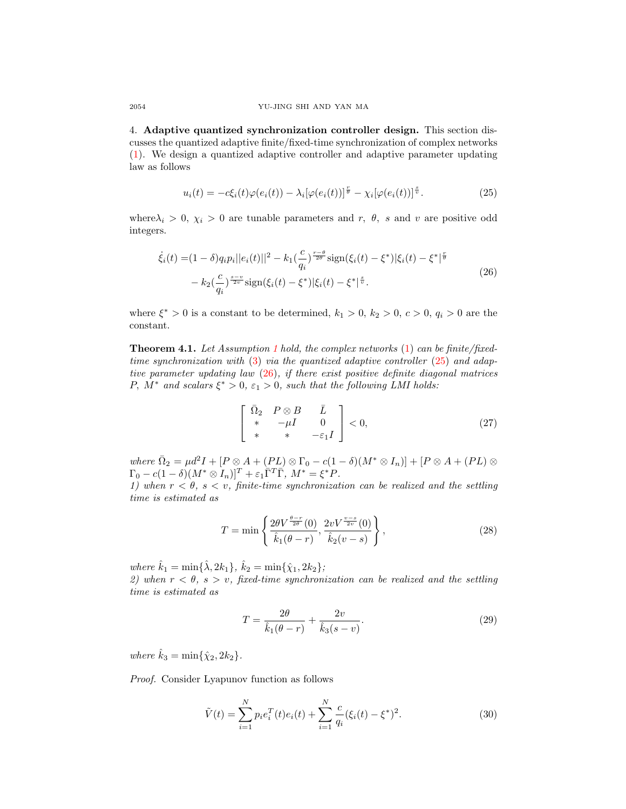4. Adaptive quantized synchronization controller design. This section discusses the quantized adaptive finite/fixed-time synchronization of complex networks [\(1\)](#page-1-0). We design a quantized adaptive controller and adaptive parameter updating law as follows

<span id="page-7-0"></span>
$$
u_i(t) = -c\xi_i(t)\varphi(e_i(t)) - \lambda_i[\varphi(e_i(t))]^{\frac{1}{\theta}} - \chi_i[\varphi(e_i(t))]^{\frac{s}{v}}.
$$
\n(25)

where  $\lambda_i > 0$ ,  $\chi_i > 0$  are tunable parameters and r,  $\theta$ , s and v are positive odd integers.

<span id="page-7-1"></span>
$$
\dot{\xi}_i(t) = (1 - \delta)q_i p_i ||e_i(t)||^2 - k_1 \left(\frac{c}{q_i}\right)^{\frac{r-\theta}{2\theta}} \text{sign}(\xi_i(t) - \xi^*) |\xi_i(t) - \xi^*|^{\frac{r}{\theta}} \n- k_2 \left(\frac{c}{q_i}\right)^{\frac{s-\nu}{2\nu}} \text{sign}(\xi_i(t) - \xi^*) |\xi_i(t) - \xi^*|^{\frac{s}{\nu}}.
$$
\n(26)

where  $\xi^* > 0$  is a constant to be determined,  $k_1 > 0$ ,  $k_2 > 0$ ,  $c > 0$ ,  $q_i > 0$  are the constant.

<span id="page-7-4"></span>Theorem 4.1. Let Assumption [1](#page-2-2) hold, the complex networks [\(1\)](#page-1-0) can be finite/fixedtime synchronization with [\(3\)](#page-2-0) via the quantized adaptive controller [\(25\)](#page-7-0) and adaptive parameter updating law [\(26\)](#page-7-1), if there exist positive definite diagonal matrices P,  $M^*$  and scalars  $\xi^* > 0$ ,  $\varepsilon_1 > 0$ , such that the following LMI holds:

<span id="page-7-3"></span>
$$
\begin{bmatrix}\n\bar{\Omega}_2 & P \otimes B & \bar{L} \\
* & -\mu I & 0 \\
* & * & -\varepsilon_1 I\n\end{bmatrix} < 0,\n\tag{27}
$$

where  $\overline{\Omega}_2 = \mu d^2 I + [P \otimes A + (PL) \otimes \Gamma_0 - c(1 - \delta)(M^* \otimes I_n)] + [P \otimes A + (PL) \otimes$  $\Gamma_0 - c(1-\delta)(M^* \otimes I_n)]^T + \varepsilon_1 \overline{\Gamma}^T \overline{\Gamma}, M^* = \xi^* P.$ 

1) when  $r < \theta$ ,  $s < v$ , finite-time synchronization can be realized and the settling time is estimated as

<span id="page-7-5"></span>
$$
T = \min\left\{\frac{2\theta V^{\frac{\theta - r}{2\theta}}(0)}{\hat{k}_1(\theta - r)}, \frac{2vV^{\frac{v - s}{2v}}(0)}{\hat{k}_2(v - s)}\right\},\tag{28}
$$

where  $\hat{k}_1 = \min\{\hat{\lambda}, 2k_1\}, \, \hat{k}_2 = \min\{\hat{\chi}_1, 2k_2\}$ ;

2) when  $r < \theta$ ,  $s > v$ , fixed-time synchronization can be realized and the settling time is estimated as

<span id="page-7-6"></span>
$$
T = \frac{2\theta}{\hat{k}_1(\theta - r)} + \frac{2v}{\hat{k}_3(s - v)}.\tag{29}
$$

where  $\hat{k}_3 = \min{\{\hat{\chi}_2, 2k_2\}}$ .

Proof. Consider Lyapunov function as follows

<span id="page-7-2"></span>
$$
\tilde{V}(t) = \sum_{i=1}^{N} p_i e_i^T(t) e_i(t) + \sum_{i=1}^{N} \frac{c}{q_i} (\xi_i(t) - \xi^*)^2.
$$
\n(30)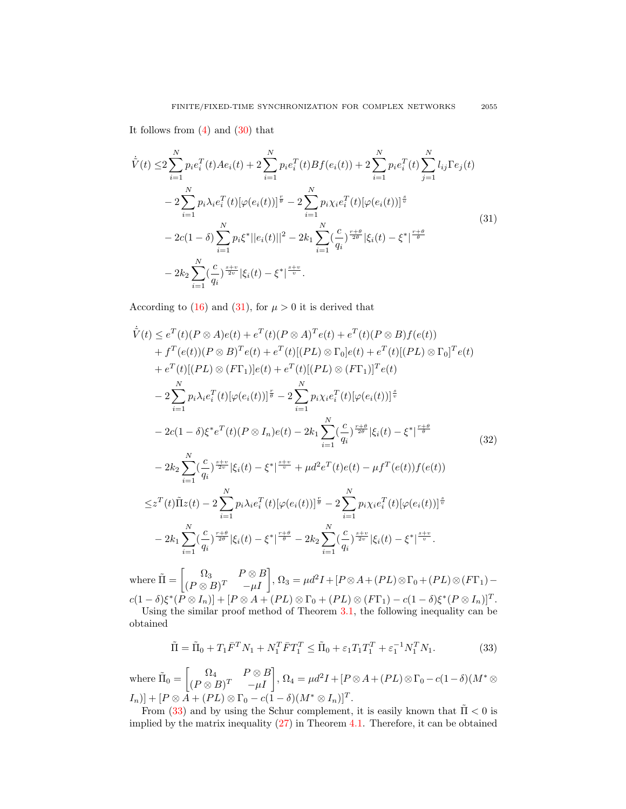It follows from  $(4)$  and  $(30)$  that

<span id="page-8-0"></span>
$$
\dot{\tilde{V}}(t) \leq 2 \sum_{i=1}^{N} p_i e_i^T(t) A e_i(t) + 2 \sum_{i=1}^{N} p_i e_i^T(t) B f(e_i(t)) + 2 \sum_{i=1}^{N} p_i e_i^T(t) \sum_{j=1}^{N} l_{ij} \Gamma e_j(t) \n- 2 \sum_{i=1}^{N} p_i \lambda_i e_i^T(t) [\varphi(e_i(t))]^{\frac{r}{\theta}} - 2 \sum_{i=1}^{N} p_i \chi_i e_i^T(t) [\varphi(e_i(t))]^{\frac{s}{\psi}} \n- 2c(1 - \delta) \sum_{i=1}^{N} p_i \xi^* ||e_i(t)||^2 - 2k_1 \sum_{i=1}^{N} (\frac{c}{q_i})^{\frac{r+\theta}{2\theta}} |\xi_i(t) - \xi^*|^{\frac{r+\theta}{\theta}} \n- 2k_2 \sum_{i=1}^{N} (\frac{c}{q_i})^{\frac{s+v}{2v}} |\xi_i(t) - \xi^*|^{\frac{s+v}{v}}.
$$
\n(31)

According to [\(16\)](#page-5-1) and [\(31\)](#page-8-0), for  $\mu > 0$  it is derived that

$$
\dot{\tilde{V}}(t) \leq e^{T}(t)(P \otimes A)e(t) + e^{T}(t)(P \otimes A)^{T}e(t) + e^{T}(t)(P \otimes B)f(e(t)) \n+ f^{T}(e(t))(P \otimes B)^{T}e(t) + e^{T}(t)[(PL) \otimes \Gamma_{0}]e(t) + e^{T}(t)[(PL) \otimes \Gamma_{0}]^{T}e(t) \n+ e^{T}(t)[(PL) \otimes (F\Gamma_{1})]e(t) + e^{T}(t)[(PL) \otimes (F\Gamma_{1})]^{T}e(t) \n- 2\sum_{i=1}^{N} p_{i}\lambda_{i}e_{i}^{T}(t)[\varphi(e_{i}(t))]^{\frac{r}{\theta}} - 2\sum_{i=1}^{N} p_{i}\chi_{i}e_{i}^{T}(t)[\varphi(e_{i}(t))]^{\frac{s}{\psi}} \n- 2c(1-\delta)\xi^{*}e^{T}(t)(P \otimes I_{n})e(t) - 2k_{1}\sum_{i=1}^{N}(\frac{c}{q_{i}})^{\frac{r+\theta}{2\theta}}|\xi_{i}(t) - \xi^{*}|^{\frac{r+\theta}{\theta}} \n- 2k_{2}\sum_{i=1}^{N}(\frac{c}{q_{i}})^{\frac{s+\nu}{2\nu}}|\xi_{i}(t) - \xi^{*}|^{\frac{s+\nu}{\nu}} + \mu d^{2}e^{T}(t)e(t) - \mu f^{T}(e(t))f(e(t)) \n\leq z^{T}(t)\tilde{\Pi}z(t) - 2\sum_{i=1}^{N} p_{i}\lambda_{i}e_{i}^{T}(t)[\varphi(e_{i}(t))]^{\frac{r}{\theta}} - 2\sum_{i=1}^{N} p_{i}\chi_{i}e_{i}^{T}(t)[\varphi(e_{i}(t))]^{\frac{s}{\psi}} \n- 2k_{1}\sum_{i=1}^{N}(\frac{c}{q_{i}})^{\frac{r+\theta}{2\theta}}|\xi_{i}(t) - \xi^{*}|^{\frac{r+\theta}{\theta}} - 2k_{2}\sum_{i=1}^{N}(\frac{c}{q_{i}})^{\frac{s+\nu}{2\nu}}|\xi_{i}(t) - \xi^{*}|^{\frac{s+\nu}{\psi}}.
$$
\n(32)

where  $\tilde{\Pi} = \begin{bmatrix} \Omega_3 & P \otimes B \\ (D \otimes P)^T & \cdots \end{bmatrix}$  $\left.\begin{array}{cc} \Omega_3 & P\otimes B\ (P\otimes B)^T & -\mu I \end{array}\right],\, \Omega_3=\mu d^2I +[P\otimes A+(PL)\otimes \Gamma_0+(PL)\otimes (F\Gamma_1)$  $c(1-\delta)\xi^*(P\otimes I_n)] + [P\otimes A + (PL)\otimes \Gamma_0 + (PL)\otimes (F\Gamma_1) - c(1-\delta)\xi^*(P\otimes I_n)]^T.$ 

Using the similar proof method of Theorem [3.1,](#page-3-5) the following inequality can be obtained

<span id="page-8-1"></span>
$$
\tilde{\Pi} = \tilde{\Pi}_0 + T_1 \bar{F}^T N_1 + N_1^T \bar{F} T_1^T \le \tilde{\Pi}_0 + \varepsilon_1 T_1 T_1^T + \varepsilon_1^{-1} N_1^T N_1.
$$
\n(33)

where  $\tilde{\Pi}_0 = \begin{bmatrix} \Omega_4 & P \otimes B \\ (P \otimes P)T & U \end{bmatrix}$  $\left[ \begin{matrix} \Omega_4 & P \otimes B \ (P \otimes B)^T & -\mu I \end{matrix} \right], \, \Omega_4 = \mu d^2 I + \left[ P \otimes A + (PL) \otimes \Gamma_0 - c(1-\delta)(M^* \otimes A) \right]$  $[I_n]$  +  $[P \otimes A + (PL) \otimes \Gamma_0 - c(1 - \delta)(M^* \otimes I_n)]^T$ .

From [\(33\)](#page-8-1) and by using the Schur complement, it is easily known that  $\tilde{\Pi}$  < 0 is implied by the matrix inequality [\(27\)](#page-7-3) in Theorem [4.1.](#page-7-4) Therefore, it can be obtained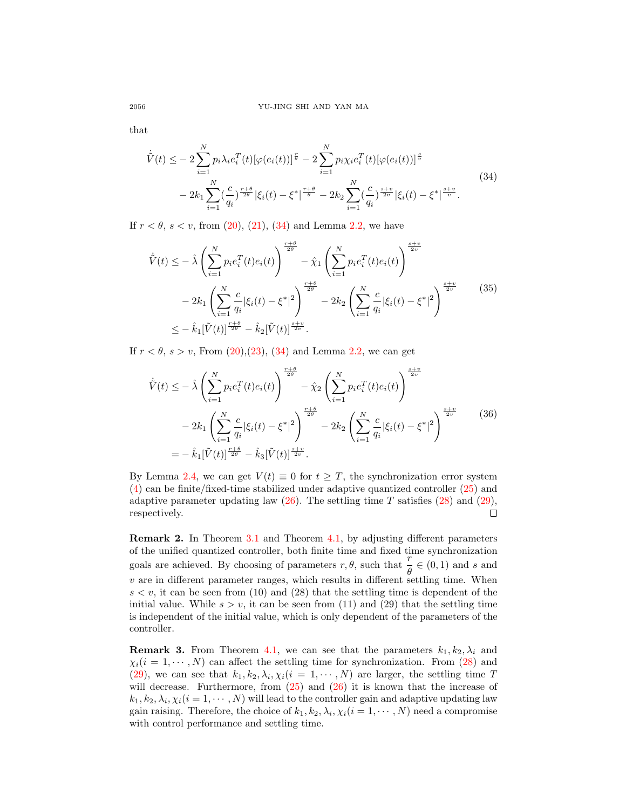that

<span id="page-9-0"></span>
$$
\dot{\tilde{V}}(t) \leq -2 \sum_{i=1}^{N} p_i \lambda_i e_i^T(t) [\varphi(e_i(t))]^{\frac{r}{\theta}} - 2 \sum_{i=1}^{N} p_i \chi_i e_i^T(t) [\varphi(e_i(t))]^{\frac{s}{\psi}} \n- 2k_1 \sum_{i=1}^{N} (\frac{c}{q_i})^{\frac{r+\theta}{2\theta}} |\xi_i(t) - \xi^*|^{\frac{r+\theta}{\theta}} - 2k_2 \sum_{i=1}^{N} (\frac{c}{q_i})^{\frac{s+\psi}{2\psi}} |\xi_i(t) - \xi^*|^{\frac{s+\psi}{\psi}}.
$$
\n(34)

If  $r < \theta$ ,  $s < v$ , from [\(20\)](#page-6-1), [\(21\)](#page-6-0), [\(34\)](#page-9-0) and Lemma [2.2,](#page-2-5) we have

$$
\dot{\tilde{V}}(t) \leq -\hat{\lambda} \left( \sum_{i=1}^{N} p_i e_i^T(t) e_i(t) \right)^{\frac{r+\theta}{2\theta}} - \hat{\chi}_1 \left( \sum_{i=1}^{N} p_i e_i^T(t) e_i(t) \right)^{\frac{s+\upsilon}{2\upsilon}} \n- 2k_1 \left( \sum_{i=1}^{N} \frac{c}{q_i} |\xi_i(t) - \xi^*|^2 \right)^{\frac{r+\theta}{2\theta}} - 2k_2 \left( \sum_{i=1}^{N} \frac{c}{q_i} |\xi_i(t) - \xi^*|^2 \right)^{\frac{s+\upsilon}{2\upsilon}} \n\leq -\hat{k}_1 [\tilde{V}(t)]^{\frac{r+\theta}{2\theta}} - \hat{k}_2 [\tilde{V}(t)]^{\frac{s+\upsilon}{2\upsilon}}.
$$
\n(35)

If  $r < \theta$ ,  $s > v$ , From [\(20\)](#page-6-1), [\(23\)](#page-6-2), [\(34\)](#page-9-0) and Lemma [2.2,](#page-2-5) we can get

$$
\dot{\tilde{V}}(t) \leq -\hat{\lambda} \left( \sum_{i=1}^{N} p_i e_i^T(t) e_i(t) \right)^{\frac{r+\theta}{2\theta}} - \hat{\chi}_2 \left( \sum_{i=1}^{N} p_i e_i^T(t) e_i(t) \right)^{\frac{s+\upsilon}{2\upsilon}}
$$
\n
$$
-2k_1 \left( \sum_{i=1}^{N} \frac{c}{q_i} |\xi_i(t) - \xi^*|^2 \right)^{\frac{r+\theta}{2\theta}} - 2k_2 \left( \sum_{i=1}^{N} \frac{c}{q_i} |\xi_i(t) - \xi^*|^2 \right)^{\frac{s+\upsilon}{2\upsilon}}
$$
\n
$$
= -\hat{k}_1 [\tilde{V}(t)]^{\frac{r+\theta}{2\theta}} - \hat{k}_3 [\tilde{V}(t)]^{\frac{s+\upsilon}{2\upsilon}}.
$$
\n(36)

By Lemma [2.4,](#page-2-1) we can get  $V(t) \equiv 0$  for  $t \geq T$ , the synchronization error system [\(4\)](#page-2-3) can be finite/fixed-time stabilized under adaptive quantized controller [\(25\)](#page-7-0) and adaptive parameter updating law  $(26)$ . The settling time T satisfies  $(28)$  and  $(29)$ , respectively.  $\Box$ 

Remark 2. In Theorem [3.1](#page-3-5) and Theorem [4.1,](#page-7-4) by adjusting different parameters of the unified quantized controller, both finite time and fixed time synchronization goals are achieved. By choosing of parameters  $r, \theta$ , such that  $\frac{r}{\theta} \in (0, 1)$  and s and  $v$  are in different parameter ranges, which results in different settling time. When  $s < v$ , it can be seen from (10) and (28) that the settling time is dependent of the initial value. While  $s > v$ , it can be seen from (11) and (29) that the settling time is independent of the initial value, which is only dependent of the parameters of the controller.

**Remark 3.** From Theorem [4.1,](#page-7-4) we can see that the parameters  $k_1, k_2, \lambda_i$  and  $\chi_i(i = 1, \dots, N)$  can affect the settling time for synchronization. From [\(28\)](#page-7-5) and [\(29\)](#page-7-6), we can see that  $k_1, k_2, \lambda_i, \chi_i (i = 1, \dots, N)$  are larger, the settling time T will decrease. Furthermore, from  $(25)$  and  $(26)$  it is known that the increase of  $(k_1, k_2, \lambda_i, \chi_i (i = 1, \cdots, N)$  will lead to the controller gain and adaptive updating law gain raising. Therefore, the choice of  $k_1, k_2, \lambda_i, \chi_i (i = 1, \cdots, N)$  need a compromise with control performance and settling time.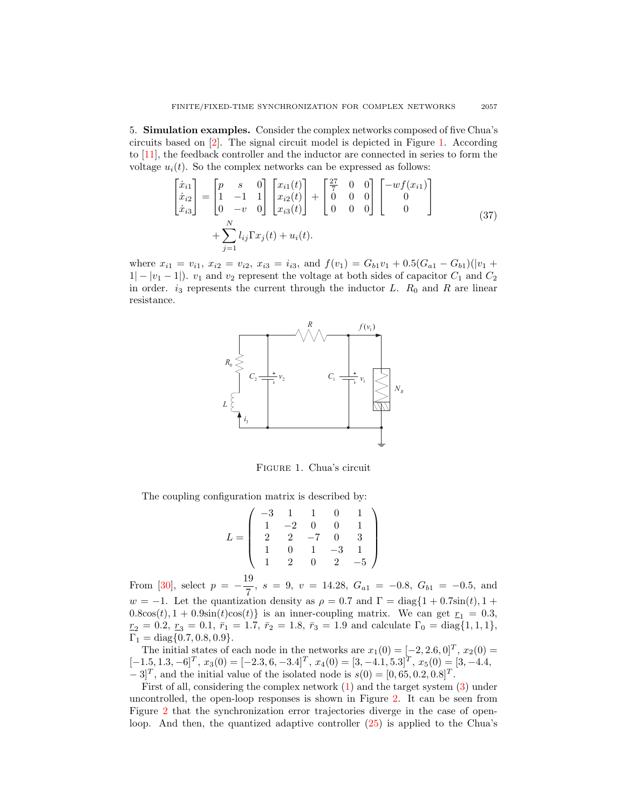5. Simulation examples. Consider the complex networks composed of five Chua's circuits based on [\[2\]](#page-13-7). The signal circuit model is depicted in Figure [1.](#page-10-0) According to [\[11\]](#page-13-8), the feedback controller and the inductor are connected in series to form the voltage  $u_i(t)$ . So the complex networks can be expressed as follows:

$$
\begin{bmatrix} \dot{x}_{i1} \\ \dot{x}_{i2} \\ \dot{x}_{i3} \end{bmatrix} = \begin{bmatrix} p & s & 0 \\ 1 & -1 & 1 \\ 0 & -v & 0 \end{bmatrix} \begin{bmatrix} x_{i1}(t) \\ x_{i2}(t) \\ x_{i3}(t) \end{bmatrix} + \begin{bmatrix} \frac{27}{7} & 0 & 0 \\ 0 & 0 & 0 \\ 0 & 0 & 0 \end{bmatrix} \begin{bmatrix} -wf(x_{i1}) \\ 0 \\ 0 \end{bmatrix} + \sum_{j=1}^{N} l_{ij} \Gamma x_j(t) + u_i(t).
$$
\n(37)

where  $x_{i1} = v_{i1}$ ,  $x_{i2} = v_{i2}$ ,  $x_{i3} = i_{i3}$ , and  $f(v_1) = G_{b1}v_1 + 0.5(G_{a1} - G_{b1})(|v_1 +$  $|1| - |v_1 - 1|$ ).  $v_1$  and  $v_2$  represent the voltage at both sides of capacitor  $C_1$  and  $C_2$ in order.  $i_3$  represents the current through the inductor L.  $R_0$  and R are linear resistance.



<span id="page-10-0"></span>Figure 1. Chua's circuit

The coupling configuration matrix is described by:

$$
L = \left(\begin{array}{rrrrr} -3 & 1 & 1 & 0 & 1 \\ 1 & -2 & 0 & 0 & 1 \\ 2 & 2 & -7 & 0 & 3 \\ 1 & 0 & 1 & -3 & 1 \\ 1 & 2 & 0 & 2 & -5 \end{array}\right)
$$

From [\[30\]](#page-14-8), select  $p = -\frac{19}{5}$  $\frac{50}{7}$ ,  $s = 9$ ,  $v = 14.28$ ,  $G_{a1} = -0.8$ ,  $G_{b1} = -0.5$ , and  $w = -1$ . Let the quantization density as  $\rho = 0.7$  and  $\Gamma = \text{diag}\{1 + 0.7\text{sin}(t), 1 +$  $0.8\cos(t), 1 + 0.9\sin(t)\cos(t)$  is an inner-coupling matrix. We can get  $r_1 = 0.3$ ,  $r_2 = 0.2$ ,  $r_3 = 0.1$ ,  $\bar{r}_1 = 1.7$ ,  $\bar{r}_2 = 1.8$ ,  $\bar{r}_3 = 1.9$  and calculate  $\Gamma_0 = \text{diag}\{1, 1, 1\}$ ,  $\Gamma_1 = \text{diag}\{0.7, 0.8, 0.9\}.$ 

The initial states of each node in the networks are  $x_1(0) = [-2, 2.6, 0]^T$ ,  $x_2(0) =$  $[-1.5, 1.3, -6]^T$ ,  $x_3(0) = [-2.3, 6, -3.4]^T$ ,  $x_4(0) = [3, -4.1, 5.3]^T$ ,  $x_5(0) = [3, -4.4,$  $-3$ <sup>T</sup>, and the initial value of the isolated node is  $s(0) = [0, 65, 0.2, 0.8]$ <sup>T</sup>.

First of all, considering the complex network [\(1\)](#page-1-0) and the target system [\(3\)](#page-2-0) under uncontrolled, the open-loop responses is shown in Figure [2.](#page-11-0) It can be seen from Figure [2](#page-11-0) that the synchronization error trajectories diverge in the case of openloop. And then, the quantized adaptive controller [\(25\)](#page-7-0) is applied to the Chua's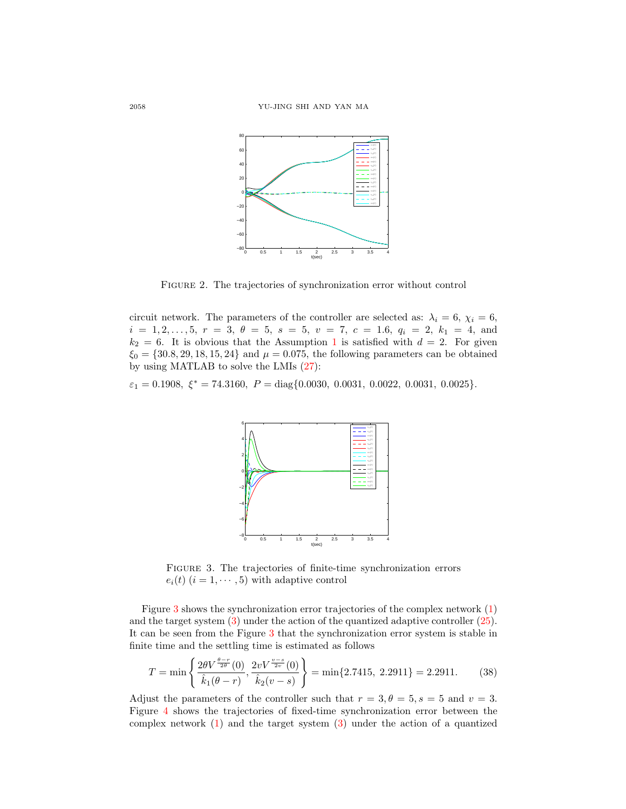

<span id="page-11-0"></span>Figure 2. The trajectories of synchronization error without control

circuit network. The parameters of the controller are selected as:  $\lambda_i = 6$ ,  $\chi_i = 6$ ,  $i = 1, 2, \ldots, 5, r = 3, \theta = 5, s = 5, v = 7, c = 1.6, q_i = 2, k_1 = 4, \text{ and }$  $k_2 = 6$ . It is obvious that the Assumption [1](#page-2-2) is satisfied with  $d = 2$ . For given  $\xi_0 = \{30.8, 29, 18, 15, 24\}$  and  $\mu = 0.075$ , the following parameters can be obtained by using MATLAB to solve the LMIs [\(27\)](#page-7-3):

 $\varepsilon_1 = 0.1908, \xi^* = 74.3160, P = \text{diag}\{0.0030, 0.0031, 0.0022, 0.0031, 0.0025\}.$ 



<span id="page-11-1"></span>FIGURE 3. The trajectories of finite-time synchronization errors  $e_i(t)$   $(i = 1, \dots, 5)$  with adaptive control

Figure [3](#page-11-1) shows the synchronization error trajectories of the complex network [\(1\)](#page-1-0) and the target system [\(3\)](#page-2-0) under the action of the quantized adaptive controller [\(25\)](#page-7-0). It can be seen from the Figure [3](#page-11-1) that the synchronization error system is stable in finite time and the settling time is estimated as follows

$$
T = \min\left\{\frac{2\theta V^{\frac{\theta - r}{2\theta}}(0)}{\hat{k}_1(\theta - r)}, \frac{2vV^{\frac{v - s}{2v}}(0)}{\hat{k}_2(v - s)}\right\} = \min\{2.7415, 2.2911\} = 2.2911. \tag{38}
$$

Adjust the parameters of the controller such that  $r = 3, \theta = 5, s = 5$  and  $v = 3$ . Figure [4](#page-12-0) shows the trajectories of fixed-time synchronization error between the complex network [\(1\)](#page-1-0) and the target system [\(3\)](#page-2-0) under the action of a quantized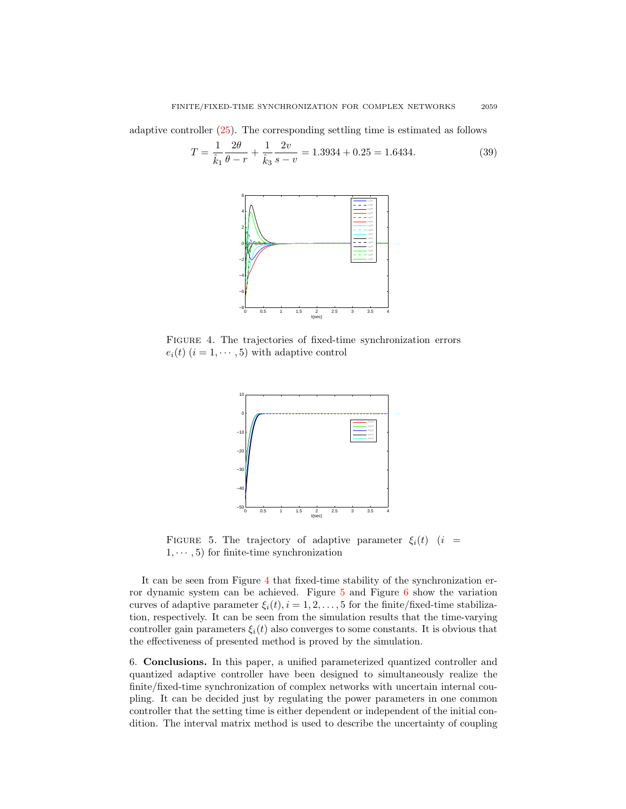adaptive controller [\(25\)](#page-7-0). The corresponding settling time is estimated as follows

$$
T = \frac{1}{\hat{k}_1} \frac{2\theta}{\theta - r} + \frac{1}{\hat{k}_3} \frac{2v}{s - v} = 1.3934 + 0.25 = 1.6434.
$$
 (39)



<span id="page-12-0"></span>Figure 4. The trajectories of fixed-time synchronization errors  $e_i(t)$   $(i = 1, \dots, 5)$  with adaptive control



<span id="page-12-1"></span>FIGURE 5. The trajectory of adaptive parameter  $\xi_i(t)$  (i =  $1, \dots, 5$  for finite-time synchronization

It can be seen from Figure [4](#page-12-0) that fixed-time stability of the synchronization error dynamic system can be achieved. Figure [5](#page-12-1) and Figure [6](#page-13-9) show the variation curves of adaptive parameter  $\xi_i(t)$ ,  $i = 1, 2, ..., 5$  for the finite/fixed-time stabilization, respectively. It can be seen from the simulation results that the time-varying controller gain parameters  $\xi_i(t)$  also converges to some constants. It is obvious that the effectiveness of presented method is proved by the simulation.

6. Conclusions. In this paper, a unified parameterized quantized controller and quantized adaptive controller have been designed to simultaneously realize the finite/fixed-time synchronization of complex networks with uncertain internal coupling. It can be decided just by regulating the power parameters in one common controller that the setting time is either dependent or independent of the initial condition. The interval matrix method is used to describe the uncertainty of coupling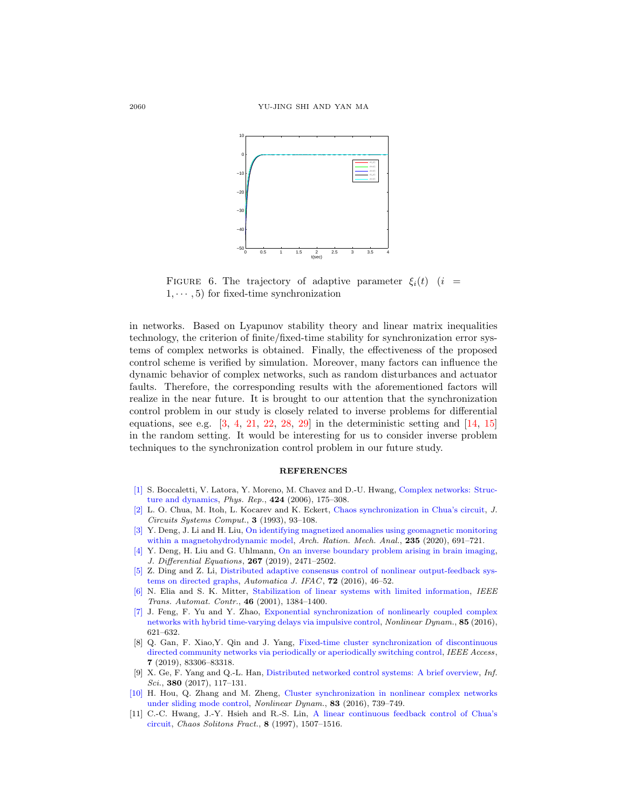

<span id="page-13-9"></span>FIGURE 6. The trajectory of adaptive parameter  $\xi_i(t)$  (i =  $1, \dots, 5$  for fixed-time synchronization

in networks. Based on Lyapunov stability theory and linear matrix inequalities technology, the criterion of finite/fixed-time stability for synchronization error systems of complex networks is obtained. Finally, the effectiveness of the proposed control scheme is verified by simulation. Moreover, many factors can influence the dynamic behavior of complex networks, such as random disturbances and actuator faults. Therefore, the corresponding results with the aforementioned factors will realize in the near future. It is brought to our attention that the synchronization control problem in our study is closely related to inverse problems for differential equations, see e.g.  $\begin{bmatrix} 3, 4, 21, 22, 28, 29 \end{bmatrix}$  $\begin{bmatrix} 3, 4, 21, 22, 28, 29 \end{bmatrix}$  $\begin{bmatrix} 3, 4, 21, 22, 28, 29 \end{bmatrix}$  $\begin{bmatrix} 3, 4, 21, 22, 28, 29 \end{bmatrix}$  $\begin{bmatrix} 3, 4, 21, 22, 28, 29 \end{bmatrix}$  $\begin{bmatrix} 3, 4, 21, 22, 28, 29 \end{bmatrix}$  $\begin{bmatrix} 3, 4, 21, 22, 28, 29 \end{bmatrix}$  $\begin{bmatrix} 3, 4, 21, 22, 28, 29 \end{bmatrix}$  $\begin{bmatrix} 3, 4, 21, 22, 28, 29 \end{bmatrix}$  in the deterministic setting and  $\begin{bmatrix} 14, 15 \end{bmatrix}$ in the random setting. It would be interesting for us to consider inverse problem techniques to the synchronization control problem in our future study.

## **REFERENCES**

- <span id="page-13-0"></span>[\[1\]](http://www.ams.org/mathscinet-getitem?mr=MR2193621&return=pdf) S. Boccaletti, V. Latora, Y. Moreno, M. Chavez and D.-U. Hwang, [Complex networks: Struc](http://dx.doi.org/10.1016/j.physrep.2005.10.009)[ture and dynamics,](http://dx.doi.org/10.1016/j.physrep.2005.10.009) Phys. Rep., 424 (2006), 175–308.
- <span id="page-13-7"></span>[\[2\]](http://www.ams.org/mathscinet-getitem?mr=MR1231454&return=pdf) L. O. Chua, M. Itoh, L. Kocarev and K. Eckert, [Chaos synchronization in Chua's circuit,](http://dx.doi.org/10.1142/S0218126693000071) J. Circuits Systems Comput., 3 (1993), 93–108.
- <span id="page-13-10"></span>[\[3\]](http://www.ams.org/mathscinet-getitem?mr=MR4062484&return=pdf) Y. Deng, J. Li and H. Liu, [On identifying magnetized anomalies using geomagnetic monitoring](http://dx.doi.org/10.1007/s00205-019-01429-x) [within a magnetohydrodynamic model,](http://dx.doi.org/10.1007/s00205-019-01429-x) Arch. Ration. Mech. Anal., 235 (2020), 691-721.
- <span id="page-13-11"></span>[\[4\]](http://www.ams.org/mathscinet-getitem?mr=MR3950489&return=pdf) Y. Deng, H. Liu and G. Uhlmann, [On an inverse boundary problem arising in brain imaging,](http://dx.doi.org/10.1016/j.jde.2019.03.019) J. Differential Equations, 267 (2019), 2471–2502.
- <span id="page-13-3"></span>[\[5\]](http://www.ams.org/mathscinet-getitem?mr=MR3542913&return=pdf) Z. Ding and Z. Li, [Distributed adaptive consensus control of nonlinear output-feedback sys](http://dx.doi.org/10.1016/j.automatica.2016.05.014)[tems on directed graphs,](http://dx.doi.org/10.1016/j.automatica.2016.05.014) Automatica J. IFAC, 72 (2016), 46-52.
- <span id="page-13-6"></span>[\[6\]](http://www.ams.org/mathscinet-getitem?mr=MR1853680&return=pdf) N. Elia and S. K. Mitter, [Stabilization of linear systems with limited information,](http://dx.doi.org/10.1109/9.948466) IEEE Trans. Automat. Contr., 46 (2001), 1384–1400.
- <span id="page-13-2"></span>[\[7\]](http://www.ams.org/mathscinet-getitem?mr=MR3510638&return=pdf) J. Feng, F. Yu and Y. Zhao, [Exponential synchronization of nonlinearly coupled complex](http://dx.doi.org/10.1007/s11071-016-2711-7) [networks with hybrid time-varying delays via impulsive control,](http://dx.doi.org/10.1007/s11071-016-2711-7) Nonlinear Dynam., 85 (2016), 621–632.
- <span id="page-13-5"></span>[8] Q. Gan, F. Xiao,Y. Qin and J. Yang, [Fixed-time cluster synchronization of discontinuous](http://dx.doi.org/10.1109/ACCESS.2019.2924661) [directed community networks via periodically or aperiodically switching control,](http://dx.doi.org/10.1109/ACCESS.2019.2924661) IEEE Access, 7 (2019), 83306–83318.
- <span id="page-13-1"></span>[9] X. Ge, F. Yang and Q.-L. Han, [Distributed networked control systems: A brief overview,](http://dx.doi.org/10.1016/j.ins.2015.07.047) Inf.  $Sci., 380 (2017), 117-131.$
- <span id="page-13-4"></span>[\[10\]](http://www.ams.org/mathscinet-getitem?mr=MR3435904&return=pdf) H. Hou, Q. Zhang and M. Zheng, [Cluster synchronization in nonlinear complex networks](http://dx.doi.org/10.1007/s11071-015-2363-z) [under sliding mode control,](http://dx.doi.org/10.1007/s11071-015-2363-z) Nonlinear Dynam., 83 (2016), 739–749.
- <span id="page-13-8"></span>[11] C.-C. Hwang, J.-Y. Hsieh and R.-S. Lin, [A linear continuous feedback control of Chua's](http://dx.doi.org/10.1016/S0960-0779(96)00150-6) [circuit,](http://dx.doi.org/10.1016/S0960-0779(96)00150-6) Chaos Solitons Fract., 8 (1997), 1507–1516.